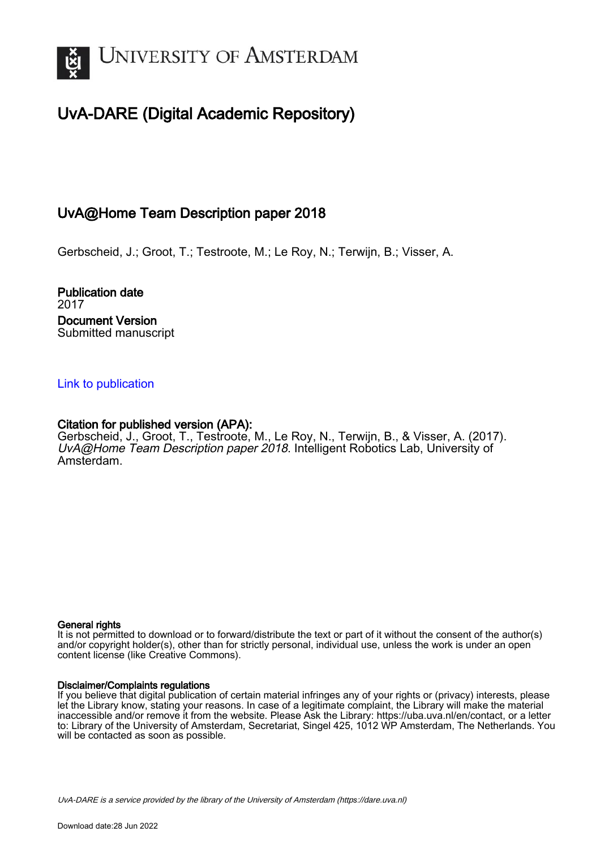

# UvA-DARE (Digital Academic Repository)

# UvA@Home Team Description paper 2018

Gerbscheid, J.; Groot, T.; Testroote, M.; Le Roy, N.; Terwijn, B.; Visser, A.

Publication date 2017 Document Version Submitted manuscript

# [Link to publication](https://dare.uva.nl/personal/pure/en/publications/uvahome-team-description-paper-2018(5fa1e101-bc65-4dfc-8874-4d97d7bb346a).html)

# Citation for published version (APA):

Gerbscheid, J., Groot, T., Testroote, M., Le Roy, N., Terwijn, B., & Visser, A. (2017). UvA@Home Team Description paper 2018. Intelligent Robotics Lab, University of Amsterdam.

## General rights

It is not permitted to download or to forward/distribute the text or part of it without the consent of the author(s) and/or copyright holder(s), other than for strictly personal, individual use, unless the work is under an open content license (like Creative Commons).

# Disclaimer/Complaints regulations

If you believe that digital publication of certain material infringes any of your rights or (privacy) interests, please let the Library know, stating your reasons. In case of a legitimate complaint, the Library will make the material inaccessible and/or remove it from the website. Please Ask the Library: https://uba.uva.nl/en/contact, or a letter to: Library of the University of Amsterdam, Secretariat, Singel 425, 1012 WP Amsterdam, The Netherlands. You will be contacted as soon as possible.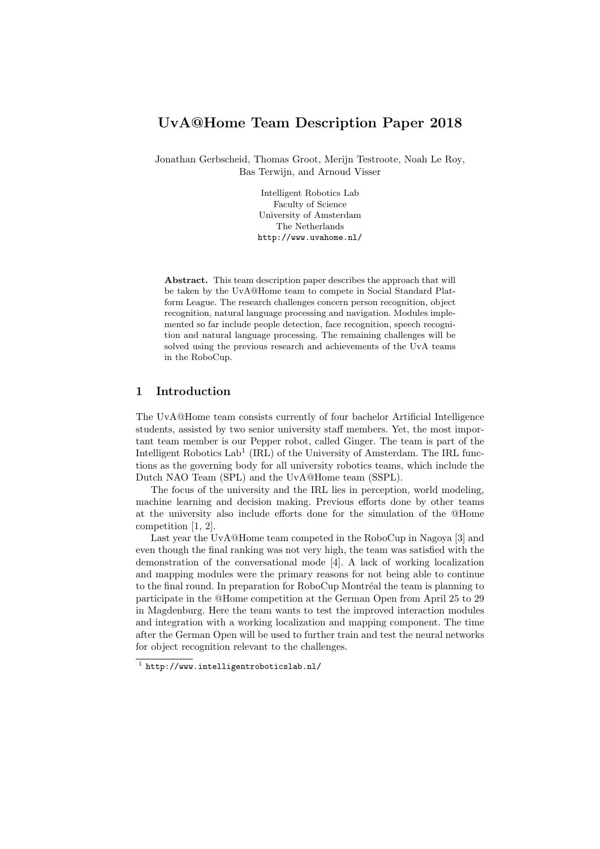# UvA@Home Team Description Paper 2018

Jonathan Gerbscheid, Thomas Groot, Merijn Testroote, Noah Le Roy, Bas Terwijn, and Arnoud Visser

> Intelligent Robotics Lab Faculty of Science University of Amsterdam The Netherlands http://www.uvahome.nl/

Abstract. This team description paper describes the approach that will be taken by the UvA@Home team to compete in Social Standard Platform League. The research challenges concern person recognition, object recognition, natural language processing and navigation. Modules implemented so far include people detection, face recognition, speech recognition and natural language processing. The remaining challenges will be solved using the previous research and achievements of the UvA teams in the RoboCup.

# 1 Introduction

The UvA@Home team consists currently of four bachelor Artificial Intelligence students, assisted by two senior university staff members. Yet, the most important team member is our Pepper robot, called Ginger. The team is part of the Intelligent Robotics  $Lab<sup>1</sup>$  (IRL) of the University of Amsterdam. The IRL functions as the governing body for all university robotics teams, which include the Dutch NAO Team (SPL) and the UvA@Home team (SSPL).

The focus of the university and the IRL lies in perception, world modeling, machine learning and decision making. Previous efforts done by other teams at the university also include efforts done for the simulation of the @Home competition [1, 2].

Last year the UvA@Home team competed in the RoboCup in Nagoya [3] and even though the final ranking was not very high, the team was satisfied with the demonstration of the conversational mode [4]. A lack of working localization and mapping modules were the primary reasons for not being able to continue to the final round. In preparation for RoboCup Montréal the team is planning to participate in the @Home competition at the German Open from April 25 to 29 in Magdenburg. Here the team wants to test the improved interaction modules and integration with a working localization and mapping component. The time after the German Open will be used to further train and test the neural networks for object recognition relevant to the challenges.

<sup>1</sup> http://www.intelligentroboticslab.nl/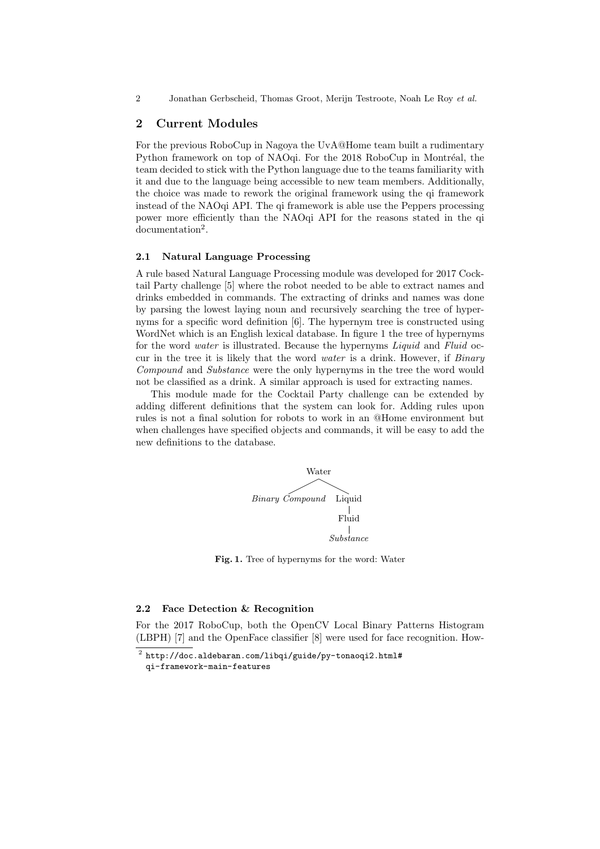2 Jonathan Gerbscheid, Thomas Groot, Merijn Testroote, Noah Le Roy et al.

### 2 Current Modules

For the previous RoboCup in Nagoya the UvA@Home team built a rudimentary Python framework on top of NAOqi. For the 2018 RoboCup in Montréal, the team decided to stick with the Python language due to the teams familiarity with it and due to the language being accessible to new team members. Additionally, the choice was made to rework the original framework using the qi framework instead of the NAOqi API. The qi framework is able use the Peppers processing power more efficiently than the NAO<sub>d</sub> API for the reasons stated in the qi documentation<sup>2</sup>.

#### 2.1 Natural Language Processing

A rule based Natural Language Processing module was developed for 2017 Cocktail Party challenge [5] where the robot needed to be able to extract names and drinks embedded in commands. The extracting of drinks and names was done by parsing the lowest laying noun and recursively searching the tree of hypernyms for a specific word definition [6]. The hypernym tree is constructed using WordNet which is an English lexical database. In figure 1 the tree of hypernyms for the word *water* is illustrated. Because the hypernyms *Liquid* and *Fluid* occur in the tree it is likely that the word water is a drink. However, if Binary Compound and Substance were the only hypernyms in the tree the word would not be classified as a drink. A similar approach is used for extracting names.

This module made for the Cocktail Party challenge can be extended by adding different definitions that the system can look for. Adding rules upon rules is not a final solution for robots to work in an @Home environment but when challenges have specified objects and commands, it will be easy to add the new definitions to the database.



Fig. 1. Tree of hypernyms for the word: Water

#### 2.2 Face Detection & Recognition

For the 2017 RoboCup, both the OpenCV Local Binary Patterns Histogram (LBPH) [7] and the OpenFace classifier [8] were used for face recognition. How-

 $^2$  http://doc.aldebaran.com/libqi/guide/py-tonaoqi2.html# qi-framework-main-features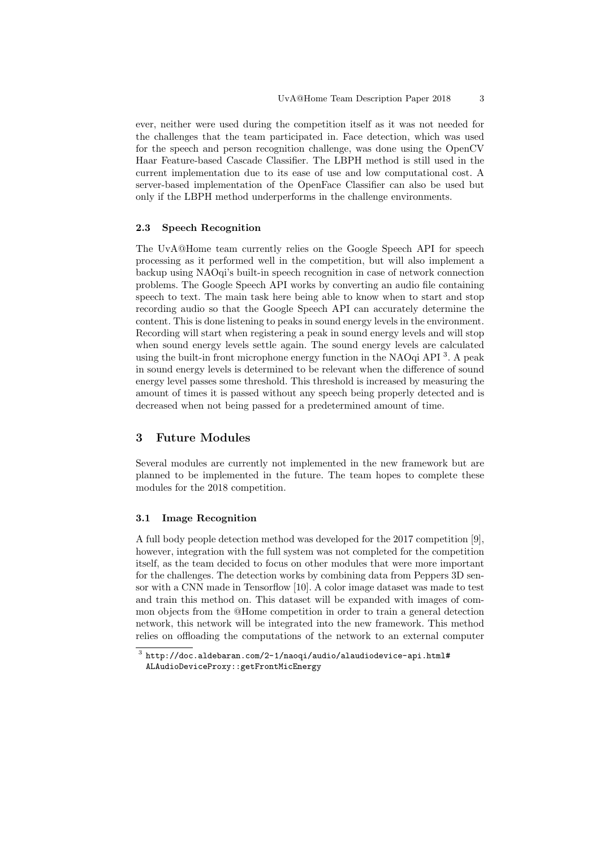ever, neither were used during the competition itself as it was not needed for the challenges that the team participated in. Face detection, which was used for the speech and person recognition challenge, was done using the OpenCV Haar Feature-based Cascade Classifier. The LBPH method is still used in the current implementation due to its ease of use and low computational cost. A server-based implementation of the OpenFace Classifier can also be used but only if the LBPH method underperforms in the challenge environments.

#### 2.3 Speech Recognition

The UvA@Home team currently relies on the Google Speech API for speech processing as it performed well in the competition, but will also implement a backup using NAOqi's built-in speech recognition in case of network connection problems. The Google Speech API works by converting an audio file containing speech to text. The main task here being able to know when to start and stop recording audio so that the Google Speech API can accurately determine the content. This is done listening to peaks in sound energy levels in the environment. Recording will start when registering a peak in sound energy levels and will stop when sound energy levels settle again. The sound energy levels are calculated using the built-in front microphone energy function in the NAOqi API<sup>3</sup>. A peak in sound energy levels is determined to be relevant when the difference of sound energy level passes some threshold. This threshold is increased by measuring the amount of times it is passed without any speech being properly detected and is decreased when not being passed for a predetermined amount of time.

### 3 Future Modules

Several modules are currently not implemented in the new framework but are planned to be implemented in the future. The team hopes to complete these modules for the 2018 competition.

#### 3.1 Image Recognition

A full body people detection method was developed for the 2017 competition [9], however, integration with the full system was not completed for the competition itself, as the team decided to focus on other modules that were more important for the challenges. The detection works by combining data from Peppers 3D sensor with a CNN made in Tensorflow [10]. A color image dataset was made to test and train this method on. This dataset will be expanded with images of common objects from the @Home competition in order to train a general detection network, this network will be integrated into the new framework. This method relies on offloading the computations of the network to an external computer

 $^3$  http://doc.aldebaran.com/2-1/naoqi/audio/alaudiodevice-api.html# ALAudioDeviceProxy::getFrontMicEnergy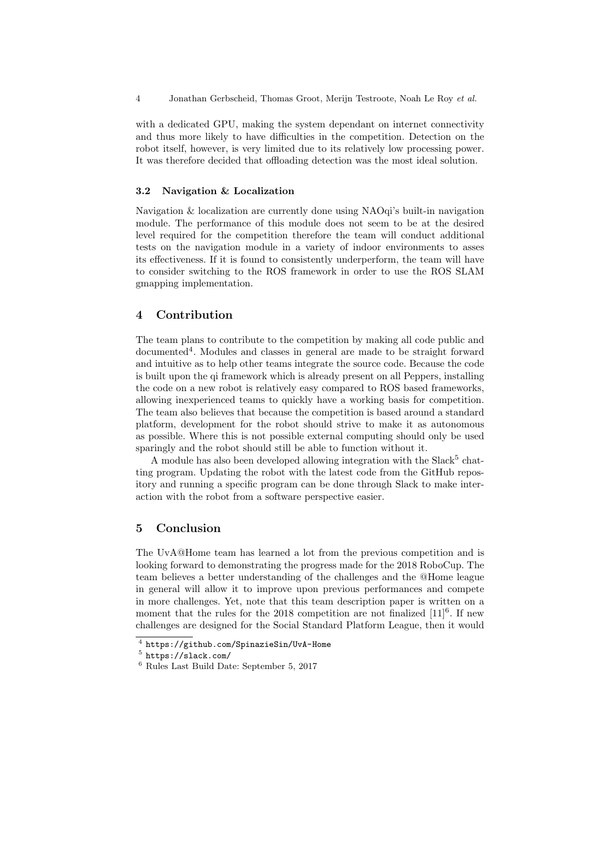4 Jonathan Gerbscheid, Thomas Groot, Merijn Testroote, Noah Le Roy et al.

with a dedicated GPU, making the system dependant on internet connectivity and thus more likely to have difficulties in the competition. Detection on the robot itself, however, is very limited due to its relatively low processing power. It was therefore decided that offloading detection was the most ideal solution.

#### 3.2 Navigation & Localization

Navigation & localization are currently done using NAOqi's built-in navigation module. The performance of this module does not seem to be at the desired level required for the competition therefore the team will conduct additional tests on the navigation module in a variety of indoor environments to asses its effectiveness. If it is found to consistently underperform, the team will have to consider switching to the ROS framework in order to use the ROS SLAM gmapping implementation.

## 4 Contribution

The team plans to contribute to the competition by making all code public and documented<sup>4</sup>. Modules and classes in general are made to be straight forward and intuitive as to help other teams integrate the source code. Because the code is built upon the qi framework which is already present on all Peppers, installing the code on a new robot is relatively easy compared to ROS based frameworks, allowing inexperienced teams to quickly have a working basis for competition. The team also believes that because the competition is based around a standard platform, development for the robot should strive to make it as autonomous as possible. Where this is not possible external computing should only be used sparingly and the robot should still be able to function without it.

A module has also been developed allowing integration with the Slack<sup>5</sup> chatting program. Updating the robot with the latest code from the GitHub repository and running a specific program can be done through Slack to make interaction with the robot from a software perspective easier.

## 5 Conclusion

The UvA@Home team has learned a lot from the previous competition and is looking forward to demonstrating the progress made for the 2018 RoboCup. The team believes a better understanding of the challenges and the @Home league in general will allow it to improve upon previous performances and compete in more challenges. Yet, note that this team description paper is written on a moment that the rules for the 2018 competition are not finalized  $[11]^{6}$ . If new challenges are designed for the Social Standard Platform League, then it would

<sup>4</sup> https://github.com/SpinazieSin/UvA-Home

<sup>5</sup> https://slack.com/

<sup>6</sup> Rules Last Build Date: September 5, 2017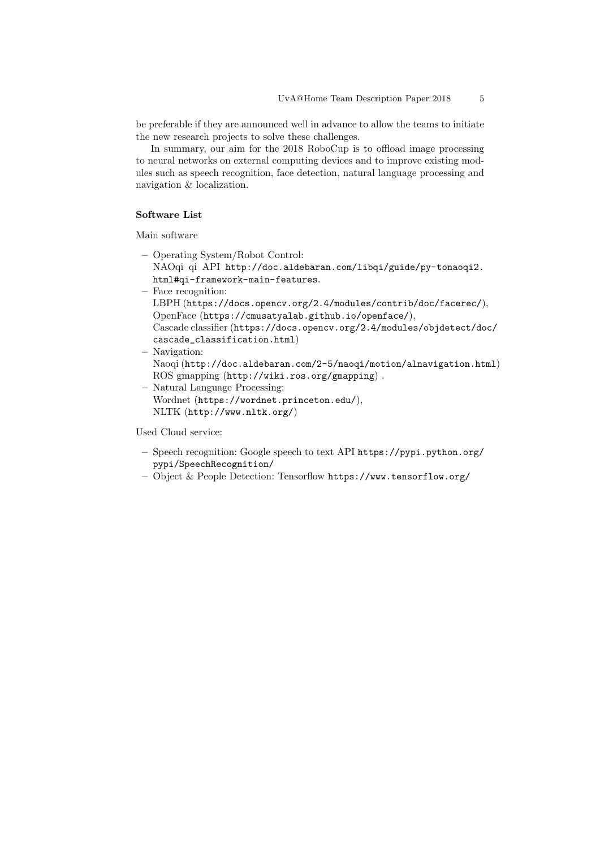be preferable if they are announced well in advance to allow the teams to initiate the new research projects to solve these challenges.

In summary, our aim for the 2018 RoboCup is to offload image processing to neural networks on external computing devices and to improve existing modules such as speech recognition, face detection, natural language processing and navigation & localization.

### Software List

Main software

- Operating System/Robot Control: NAOqi qi API http://doc.aldebaran.com/libqi/guide/py-tonaoqi2. html#qi-framework-main-features.
- Face recognition:
- LBPH (https://docs.opencv.org/2.4/modules/contrib/doc/facerec/), OpenFace (https://cmusatyalab.github.io/openface/),
- Cascade classifier (https://docs.opencv.org/2.4/modules/objdetect/doc/ cascade\_classification.html)
- Navigation: Naoqi (http://doc.aldebaran.com/2-5/naoqi/motion/alnavigation.html) ROS gmapping (http://wiki.ros.org/gmapping) .
- Natural Language Processing: Wordnet (https://wordnet.princeton.edu/), NLTK (http://www.nltk.org/)

Used Cloud service:

- Speech recognition: Google speech to text API https://pypi.python.org/ pypi/SpeechRecognition/
- Object & People Detection: Tensorflow https://www.tensorflow.org/